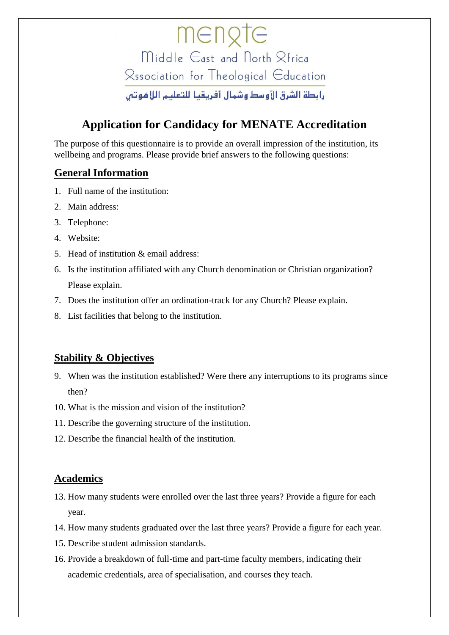mengte Middle East and North & Frica Rssociation for Theological Education رابطة الشرق الأوسط وشمال أفريقيا للتعليم اللاهوتين

# **Application for Candidacy for MENATE Accreditation**

The purpose of this questionnaire is to provide an overall impression of the institution, its wellbeing and programs. Please provide brief answers to the following questions:

# **General Information**

- 1. Full name of the institution:
- 2. Main address:
- 3. Telephone:
- 4. Website:
- 5. Head of institution & email address:
- 6. Is the institution affiliated with any Church denomination or Christian organization? Please explain.
- 7. Does the institution offer an ordination-track for any Church? Please explain.
- 8. List facilities that belong to the institution.

### **Stability & Objectives**

- 9. When was the institution established? Were there any interruptions to its programs since then?
- 10. What is the mission and vision of the institution?
- 11. Describe the governing structure of the institution.
- 12. Describe the financial health of the institution.

### **Academics**

- 13. How many students were enrolled over the last three years? Provide a figure for each year.
- 14. How many students graduated over the last three years? Provide a figure for each year.
- 15. Describe student admission standards.
- 16. Provide a breakdown of full-time and part-time faculty members, indicating their academic credentials, area of specialisation, and courses they teach.